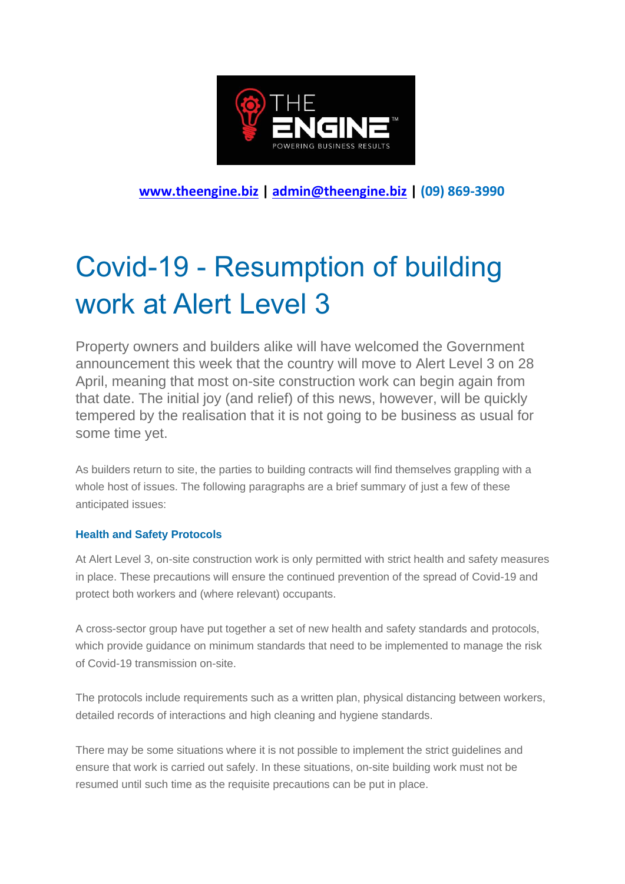

**[www.theengine.biz](http://www.theengine.biz/) | [admin@theengine.biz](mailto:admin@theengine.biz) | (09) 869-3990**

# Covid-19 - Resumption of building work at Alert Level 3

Property owners and builders alike will have welcomed the Government announcement this week that the country will move to Alert Level 3 on 28 April, meaning that most on-site construction work can begin again from that date. The initial joy (and relief) of this news, however, will be quickly tempered by the realisation that it is not going to be business as usual for some time yet.

As builders return to site, the parties to building contracts will find themselves grappling with a whole host of issues. The following paragraphs are a brief summary of just a few of these anticipated issues:

# **Health and Safety Protocols**

At Alert Level 3, on-site construction work is only permitted with strict health and safety measures in place. These precautions will ensure the continued prevention of the spread of Covid-19 and protect both workers and (where relevant) occupants.

A cross-sector group have put together a set of new health and safety standards and protocols, which provide guidance on minimum standards that need to be implemented to manage the risk of Covid-19 transmission on-site.

The protocols include requirements such as a written plan, physical distancing between workers, detailed records of interactions and high cleaning and hygiene standards.

There may be some situations where it is not possible to implement the strict guidelines and ensure that work is carried out safely. In these situations, on-site building work must not be resumed until such time as the requisite precautions can be put in place.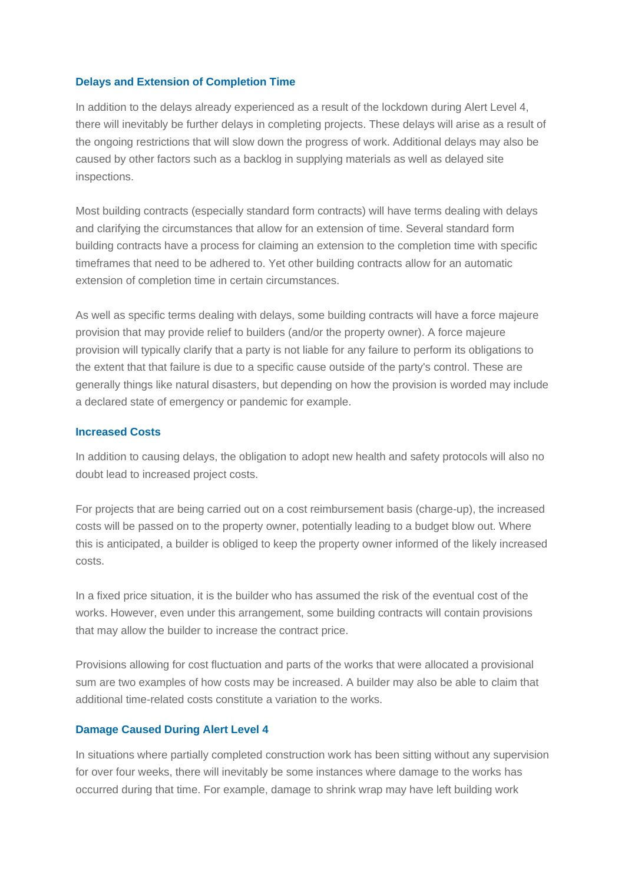### **Delays and Extension of Completion Time**

In addition to the delays already experienced as a result of the lockdown during Alert Level 4, there will inevitably be further delays in completing projects. These delays will arise as a result of the ongoing restrictions that will slow down the progress of work. Additional delays may also be caused by other factors such as a backlog in supplying materials as well as delayed site inspections.

Most building contracts (especially standard form contracts) will have terms dealing with delays and clarifying the circumstances that allow for an extension of time. Several standard form building contracts have a process for claiming an extension to the completion time with specific timeframes that need to be adhered to. Yet other building contracts allow for an automatic extension of completion time in certain circumstances.

As well as specific terms dealing with delays, some building contracts will have a force majeure provision that may provide relief to builders (and/or the property owner). A force majeure provision will typically clarify that a party is not liable for any failure to perform its obligations to the extent that that failure is due to a specific cause outside of the party's control. These are generally things like natural disasters, but depending on how the provision is worded may include a declared state of emergency or pandemic for example.

## **Increased Costs**

In addition to causing delays, the obligation to adopt new health and safety protocols will also no doubt lead to increased project costs.

For projects that are being carried out on a cost reimbursement basis (charge-up), the increased costs will be passed on to the property owner, potentially leading to a budget blow out. Where this is anticipated, a builder is obliged to keep the property owner informed of the likely increased costs.

In a fixed price situation, it is the builder who has assumed the risk of the eventual cost of the works. However, even under this arrangement, some building contracts will contain provisions that may allow the builder to increase the contract price.

Provisions allowing for cost fluctuation and parts of the works that were allocated a provisional sum are two examples of how costs may be increased. A builder may also be able to claim that additional time-related costs constitute a variation to the works.

#### **Damage Caused During Alert Level 4**

In situations where partially completed construction work has been sitting without any supervision for over four weeks, there will inevitably be some instances where damage to the works has occurred during that time. For example, damage to shrink wrap may have left building work